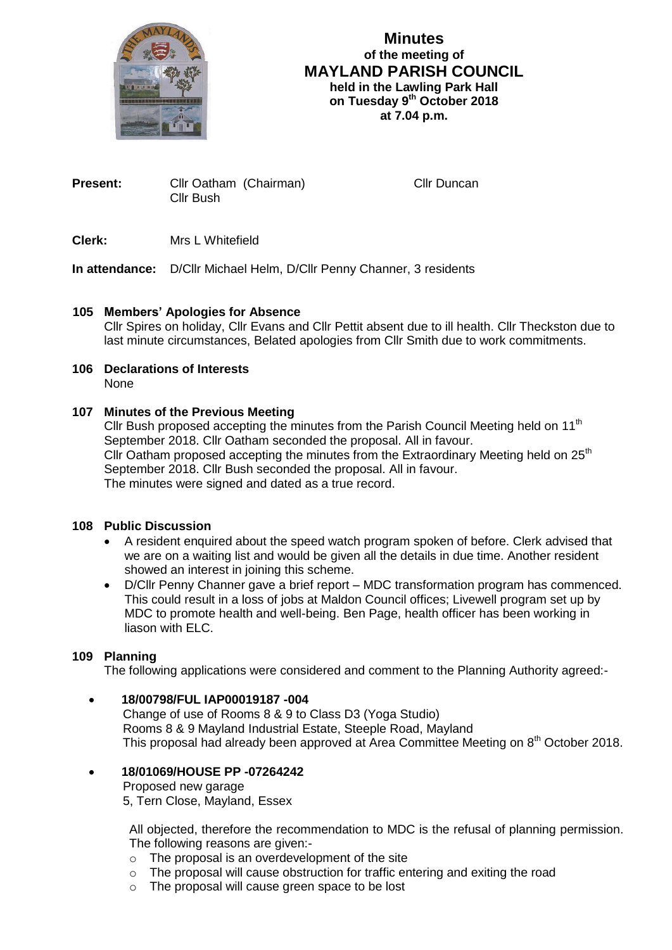

# **Minutes of the meeting of MAYLAND PARISH COUNCIL held in the Lawling Park Hall on Tuesday 9 th October 2018 at 7.04 p.m.**

**Present:** Cllr Oatham (Chairman) Cllr Duncan Cllr Bush

**Clerk:** Mrs L Whitefield

**In attendance:** D/Cllr Michael Helm, D/Cllr Penny Channer, 3 residents

## **105 Members' Apologies for Absence**

Cllr Spires on holiday, Cllr Evans and Cllr Pettit absent due to ill health. Cllr Theckston due to last minute circumstances, Belated apologies from Cllr Smith due to work commitments.

#### **106 Declarations of Interests** None

## **107 Minutes of the Previous Meeting**

Cllr Bush proposed accepting the minutes from the Parish Council Meeting held on  $11<sup>th</sup>$ September 2018. Cllr Oatham seconded the proposal. All in favour. Cllr Oatham proposed accepting the minutes from the Extraordinary Meeting held on  $25<sup>th</sup>$ September 2018. Cllr Bush seconded the proposal. All in favour. The minutes were signed and dated as a true record.

### **108 Public Discussion**

- A resident enquired about the speed watch program spoken of before. Clerk advised that we are on a waiting list and would be given all the details in due time. Another resident showed an interest in joining this scheme.
- D/Cllr Penny Channer gave a brief report MDC transformation program has commenced. This could result in a loss of jobs at Maldon Council offices; Livewell program set up by MDC to promote health and well-being. Ben Page, health officer has been working in liason with ELC.

### **109 Planning**

The following applications were considered and comment to the Planning Authority agreed:-

# **18/00798/FUL IAP00019187 -004**

 Change of use of Rooms 8 & 9 to Class D3 (Yoga Studio) Rooms 8 & 9 Mayland Industrial Estate, Steeple Road, Mayland This proposal had already been approved at Area Committee Meeting on 8<sup>th</sup> October 2018.

# **18/01069/HOUSE PP -07264242**

Proposed new garage

5, Tern Close, Mayland, Essex

All objected, therefore the recommendation to MDC is the refusal of planning permission. The following reasons are given:-

- o The proposal is an overdevelopment of the site
- $\circ$  The proposal will cause obstruction for traffic entering and exiting the road
- o The proposal will cause green space to be lost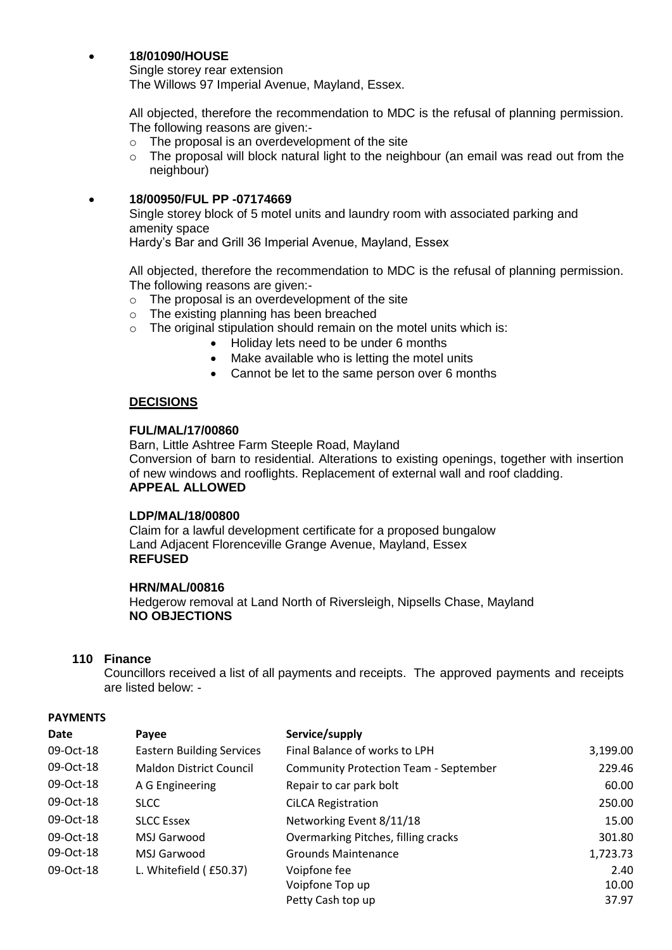### **18/01090/HOUSE**

Single storey rear extension The Willows 97 Imperial Avenue, Mayland, Essex.

All objected, therefore the recommendation to MDC is the refusal of planning permission. The following reasons are given:-

- o The proposal is an overdevelopment of the site
- o The proposal will block natural light to the neighbour (an email was read out from the neighbour)

### **18/00950/FUL PP -07174669**

Single storey block of 5 motel units and laundry room with associated parking and amenity space

Hardy's Bar and Grill 36 Imperial Avenue, Mayland, Essex

All objected, therefore the recommendation to MDC is the refusal of planning permission. The following reasons are given:-

- o The proposal is an overdevelopment of the site
- o The existing planning has been breached
- o The original stipulation should remain on the motel units which is:
	- Holiday lets need to be under 6 months
	- Make available who is letting the motel units
	- Cannot be let to the same person over 6 months

### **DECISIONS**

#### **FUL/MAL/17/00860**

Barn, Little Ashtree Farm Steeple Road, Mayland Conversion of barn to residential. Alterations to existing openings, together with insertion of new windows and rooflights. Replacement of external wall and roof cladding. **APPEAL ALLOWED**

#### **LDP/MAL/18/00800**

Claim for a lawful development certificate for a proposed bungalow Land Adjacent Florenceville Grange Avenue, Mayland, Essex **REFUSED**

## **HRN/MAL/00816**

Hedgerow removal at Land North of Riversleigh, Nipsells Chase, Mayland **NO OBJECTIONS**

### **110 Finance**

Councillors received a list of all payments and receipts. The approved payments and receipts are listed below: -

#### **PAYMENTS**

| Date      | Payee                            | Service/supply                               |          |
|-----------|----------------------------------|----------------------------------------------|----------|
| 09-Oct-18 | <b>Eastern Building Services</b> | Final Balance of works to LPH                | 3,199.00 |
| 09-Oct-18 | <b>Maldon District Council</b>   | <b>Community Protection Team - September</b> | 229.46   |
| 09-Oct-18 | A G Engineering                  | Repair to car park bolt                      | 60.00    |
| 09-Oct-18 | <b>SLCC</b>                      | <b>CiLCA Registration</b>                    | 250.00   |
| 09-Oct-18 | <b>SLCC Essex</b>                | Networking Event 8/11/18                     | 15.00    |
| 09-Oct-18 | MSJ Garwood                      | Overmarking Pitches, filling cracks          | 301.80   |
| 09-Oct-18 | MSJ Garwood                      | <b>Grounds Maintenance</b>                   | 1,723.73 |
| 09-Oct-18 | L. Whitefield (£50.37)           | Voipfone fee                                 | 2.40     |
|           |                                  | Voipfone Top up                              | 10.00    |
|           |                                  | Petty Cash top up                            | 37.97    |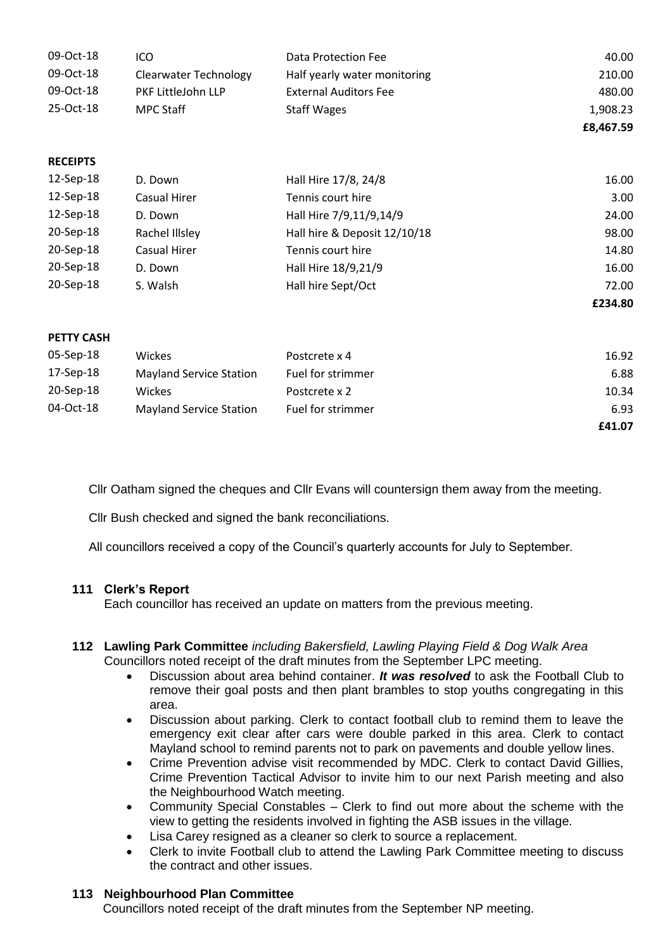| 09-Oct-18         | ICO                            | Data Protection Fee          | 40.00     |
|-------------------|--------------------------------|------------------------------|-----------|
| 09-Oct-18         | <b>Clearwater Technology</b>   | Half yearly water monitoring | 210.00    |
| 09-Oct-18         | PKF LittleJohn LLP             | <b>External Auditors Fee</b> | 480.00    |
| 25-Oct-18         | <b>MPC Staff</b>               | <b>Staff Wages</b>           | 1,908.23  |
|                   |                                |                              | £8,467.59 |
|                   |                                |                              |           |
| <b>RECEIPTS</b>   |                                |                              |           |
| 12-Sep-18         | D. Down                        | Hall Hire 17/8, 24/8         | 16.00     |
| 12-Sep-18         | Casual Hirer                   | Tennis court hire            | 3.00      |
| 12-Sep-18         | D. Down                        | Hall Hire 7/9,11/9,14/9      | 24.00     |
| 20-Sep-18         | Rachel Illsley                 | Hall hire & Deposit 12/10/18 | 98.00     |
| 20-Sep-18         | <b>Casual Hirer</b>            | Tennis court hire            | 14.80     |
| 20-Sep-18         | D. Down                        | Hall Hire 18/9,21/9          | 16.00     |
| 20-Sep-18         | S. Walsh                       | Hall hire Sept/Oct           | 72.00     |
|                   |                                |                              | £234.80   |
|                   |                                |                              |           |
| <b>PETTY CASH</b> |                                |                              |           |
| 05-Sep-18         | Wickes                         | Postcrete x 4                | 16.92     |
| 17-Sep-18         | <b>Mayland Service Station</b> | Fuel for strimmer            | 6.88      |
| 20-Sep-18         | Wickes                         | Postcrete x 2                | 10.34     |
| 04-Oct-18         | <b>Mayland Service Station</b> | Fuel for strimmer            | 6.93      |
|                   |                                |                              | £41.07    |

Cllr Oatham signed the cheques and Cllr Evans will countersign them away from the meeting.

Cllr Bush checked and signed the bank reconciliations.

All councillors received a copy of the Council's quarterly accounts for July to September.

### **111 Clerk's Report**

Each councillor has received an update on matters from the previous meeting.

#### **112 Lawling Park Committee** *including Bakersfield, Lawling Playing Field & Dog Walk Area* Councillors noted receipt of the draft minutes from the September LPC meeting.

- Discussion about area behind container. *It was resolved* to ask the Football Club to remove their goal posts and then plant brambles to stop youths congregating in this area.
- Discussion about parking. Clerk to contact football club to remind them to leave the emergency exit clear after cars were double parked in this area. Clerk to contact Mayland school to remind parents not to park on pavements and double yellow lines.
- Crime Prevention advise visit recommended by MDC. Clerk to contact David Gillies, Crime Prevention Tactical Advisor to invite him to our next Parish meeting and also the Neighbourhood Watch meeting.
- Community Special Constables Clerk to find out more about the scheme with the view to getting the residents involved in fighting the ASB issues in the village.
- Lisa Carey resigned as a cleaner so clerk to source a replacement.
- Clerk to invite Football club to attend the Lawling Park Committee meeting to discuss the contract and other issues.

### **113 Neighbourhood Plan Committee**

Councillors noted receipt of the draft minutes from the September NP meeting.